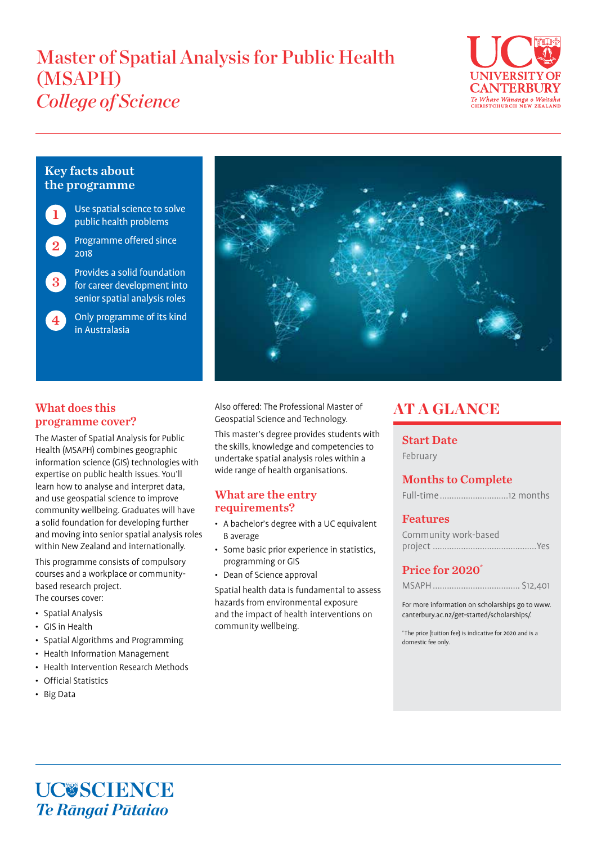# Master of Spatial Analysis for Public Health (MSAPH) *College of Science*



# Key facts about the programme

- 1
- Use spatial science to solve public health problems
- Programme offered since 2018 2
- Provides a solid foundation for career development into senior spatial analysis roles 3
- Only programme of its kind in Australasia 4



# What does this programme cover?

The Master of Spatial Analysis for Public Health (MSAPH) combines geographic information science (GIS) technologies with expertise on public health issues. You'll learn how to analyse and interpret data, and use geospatial science to improve community wellbeing. Graduates will have a solid foundation for developing further and moving into senior spatial analysis roles within New Zealand and internationally.

This programme consists of compulsory courses and a workplace or communitybased research project. The courses cover:

- Spatial Analysis
- GIS in Health
- Spatial Algorithms and Programming
- Health Information Management
- Health Intervention Research Methods
- Official Statistics
- Big Data

Also offered: The Professional Master of Geospatial Science and Technology.

This master's degree provides students with the skills, knowledge and competencies to undertake spatial analysis roles within a wide range of health organisations.

## What are the entry requirements?

- A bachelor's degree with a UC equivalent B average
- Some basic prior experience in statistics, programming or GIS
- Dean of Science approval

Spatial health data is fundamental to assess hazards from environmental exposure and the impact of health interventions on community wellbeing.

# **AT A GLANCE**

### Start Date

February

# Months to Complete

### Features

| Community work-based |  |
|----------------------|--|
|                      |  |

# Price for 2020\*

|--|--|

For more information on scholarships go to www. canterbury.ac.nz/get-started/scholarships/.

\* The price (tuition fee) is indicative for 2020 and is a domestic fee only.

UC**USCIENCE** *Te Rāngai Pūtaiao*